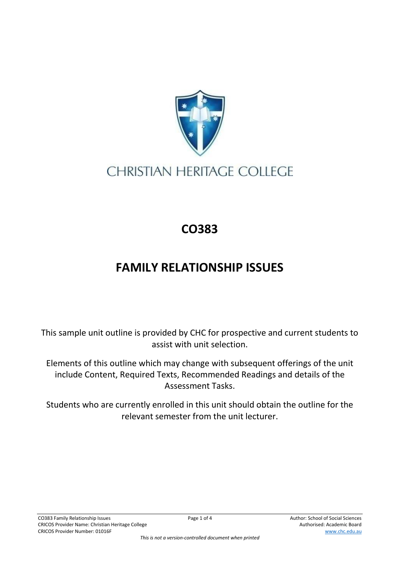

## **CHRISTIAN HERITAGE COLLEGE**

## **CO383**

## **FAMILY RELATIONSHIP ISSUES**

This sample unit outline is provided by CHC for prospective and current students to assist with unit selection.

Elements of this outline which may change with subsequent offerings of the unit include Content, Required Texts, Recommended Readings and details of the Assessment Tasks.

Students who are currently enrolled in this unit should obtain the outline for the relevant semester from the unit lecturer.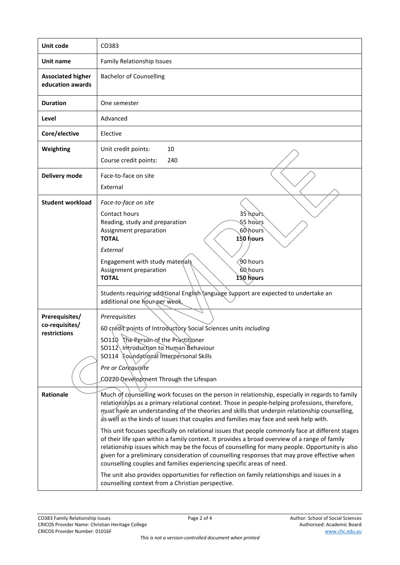| Unit code                                        | CO383                                                                                                                                                                                                                                                                                                                                                                                                                                                                         |
|--------------------------------------------------|-------------------------------------------------------------------------------------------------------------------------------------------------------------------------------------------------------------------------------------------------------------------------------------------------------------------------------------------------------------------------------------------------------------------------------------------------------------------------------|
| Unit name                                        | Family Relationship Issues                                                                                                                                                                                                                                                                                                                                                                                                                                                    |
| <b>Associated higher</b><br>education awards     | <b>Bachelor of Counselling</b>                                                                                                                                                                                                                                                                                                                                                                                                                                                |
| <b>Duration</b>                                  | One semester                                                                                                                                                                                                                                                                                                                                                                                                                                                                  |
| Level                                            | Advanced                                                                                                                                                                                                                                                                                                                                                                                                                                                                      |
| Core/elective                                    | Elective                                                                                                                                                                                                                                                                                                                                                                                                                                                                      |
| Weighting                                        | Unit credit points:<br>10<br>Course credit points:<br>240                                                                                                                                                                                                                                                                                                                                                                                                                     |
| Delivery mode                                    | Face-to-face on site<br>External                                                                                                                                                                                                                                                                                                                                                                                                                                              |
| <b>Student workload</b>                          | Face-to-face on site<br>Contact hours<br>35 hours<br>§5 hoùrs<br>Reading, study and preparation<br>60\hours<br>Assignment preparation<br><b>TOTAL</b><br>150 hours<br>External<br>Engagement with study materials<br>90 hours<br>Assignment preparation<br>60 hours<br><b>TOTAL</b><br>150 hours                                                                                                                                                                              |
|                                                  | Students requiring additional English language support are expected to undertake an<br>additional one hout per week.                                                                                                                                                                                                                                                                                                                                                          |
| Prerequisites/<br>co-requisites/<br>restrictions | Prerequisites<br>60 credit points of Introductory Social Sciences units including<br>SO110 The Person of the Practitioner<br>SO112 Introduction to Human Behaviour<br>SO114 Foundational Interpersonal Skills<br>Pre or Corequisite<br>CO220 Qevelopment Through the Lifespan                                                                                                                                                                                                 |
| <b>Rationale</b>                                 | Much of counselling work focuses on the person in relationship, especially in regards to family<br>relationships as a primary relational context. Those in people-helping professions, therefore,<br>must have an understanding of the theories and skills that underpin relationship counselling,<br>as well as the kinds of issues that couples and families may face and seek help with.                                                                                   |
|                                                  | This unit focuses specifically on relational issues that people commonly face at different stages<br>of their life span within a family context. It provides a broad overview of a range of family<br>relationship issues which may be the focus of counselling for many people. Opportunity is also<br>given for a preliminary consideration of counselling responses that may prove effective when<br>counselling couples and families experiencing specific areas of need. |
|                                                  | The unit also provides opportunities for reflection on family relationships and issues in a<br>counselling context from a Christian perspective.                                                                                                                                                                                                                                                                                                                              |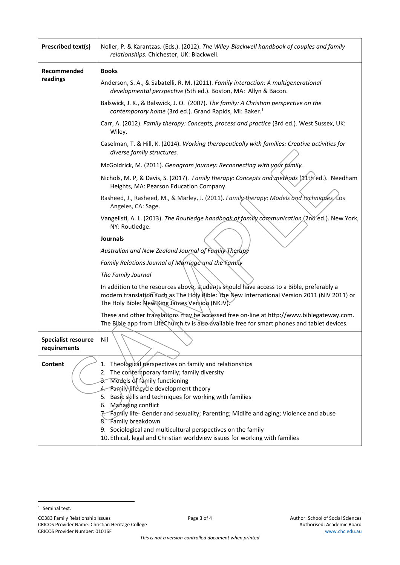| <b>Prescribed text(s)</b>                  | Noller, P. & Karantzas. (Eds.). (2012). The Wiley-Blackwell handbook of couples and family<br>relationships. Chichester, UK: Blackwell.                                                                                                                                   |
|--------------------------------------------|---------------------------------------------------------------------------------------------------------------------------------------------------------------------------------------------------------------------------------------------------------------------------|
| Recommended<br>readings                    | <b>Books</b>                                                                                                                                                                                                                                                              |
|                                            | Anderson, S. A., & Sabatelli, R. M. (2011). Family interaction: A multigenerational<br>developmental perspective (5th ed.). Boston, MA: Allyn & Bacon.                                                                                                                    |
|                                            | Balswick, J. K., & Balswick, J. O. (2007). The family: A Christian perspective on the<br>contemporary home (3rd ed.). Grand Rapids, MI: Baker. <sup>1</sup>                                                                                                               |
|                                            | Carr, A. (2012). Family therapy: Concepts, process and practice (3rd ed.). West Sussex, UK:<br>Wiley.                                                                                                                                                                     |
|                                            | Caselman, T. & Hill, K. (2014). Working therapeutically with families: Creative activities for<br>diverse family structures.                                                                                                                                              |
|                                            | McGoldrick, M. (2011). Genogram journey: Reconnecting with your family.                                                                                                                                                                                                   |
|                                            | Nichols, M. P, & Davis, S. (2017). Family therapy: Concepts and methods (11th'ed.). Needham<br>Heights, MA: Pearson Education Company.                                                                                                                                    |
|                                            | Rasheed, J., Rasheed, M., & Marley, J. (2011). Family therapy: Models and techniques/Los<br>Angeles, CA: Sage.                                                                                                                                                            |
|                                            | Vangelisti, A. L. (2013). The Routledge handbook of family communication (2nd ed.). New York,<br>NY: Routledge.                                                                                                                                                           |
|                                            | <b>Journals</b><br>Australian and New Zealand Journal of Family Therapy                                                                                                                                                                                                   |
|                                            | Family Relations Journal of Marriage and the Family                                                                                                                                                                                                                       |
|                                            | The Family Journal                                                                                                                                                                                                                                                        |
|                                            | In addition to the resources above, students should have access to a Bible, preferably a<br>modern translation such as The Holy Bible: The New International Version 2011 (NIV 2011) or<br>The Holy Bible: New King James Version (NKJV).                                 |
|                                            | These and other translations may be accessed free on-line at http://www.biblegateway.com.<br>The Bible app from LifeChurch.tv is also available free for smart phones and tablet devices.                                                                                 |
| <b>Specialist resource</b><br>requirements | Nil                                                                                                                                                                                                                                                                       |
| Content                                    | 1. Theological perspectives on family and relationships<br>2. The contemporary family; family diversity<br>3. Models of family functioning<br>4. Family life cycle development theory<br>5. Basic skills and techniques for working with families<br>6. Managing conflict |
|                                            | Family life- Gender and sexuality; Parenting; Midlife and aging; Violence and abuse<br>8. Family breakdown<br>9. Sociological and multicultural perspectives on the family<br>10. Ethical, legal and Christian worldview issues for working with families                 |

<sup>&</sup>lt;sup>1</sup> Seminal text.